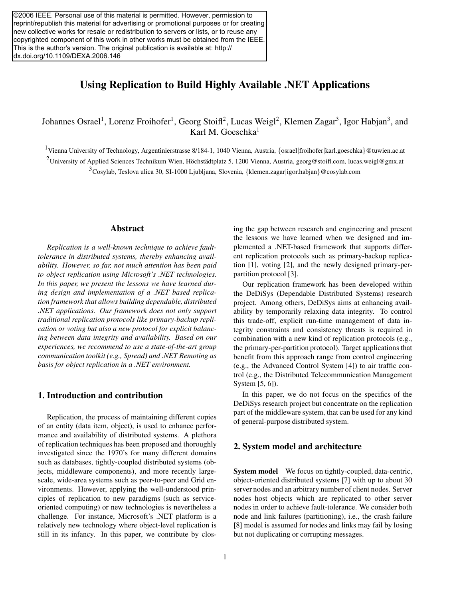©2006 IEEE. Personal use of this material is permitted. However, permission to reprint/republish this material for advertising or promotional purposes or for creating new collective works for resale or redistribution to servers or lists, or to reuse any copyrighted component of this work in other works must be obtained from the IEEE. This is the author's version. The original publication is available at: http:// dx.doi.org/10.1109/DEXA.2006.146

# Using Replication to Build Highly Available .NET Applications

Johannes Osrael<sup>1</sup>, Lorenz Froihofer<sup>1</sup>, Georg Stoifl<sup>2</sup>, Lucas Weigl<sup>2</sup>, Klemen Zagar<sup>3</sup>, Igor Habjan<sup>3</sup>, and Karl M. Goeschka $<sup>1</sup>$ </sup>

1Vienna University of Technology, Argentinierstrasse 8/184-1, 1040 Vienna, Austria, *{*osrael*|*froihofer*|*karl.goeschka*}*@tuwien.ac.at

<sup>2</sup>University of Applied Sciences Technikum Wien, Höchstädtplatz 5, 1200 Vienna, Austria, georg@stoifl.com, lucas.weigl@gmx.at 3Cosylab, Teslova ulica 30, SI-1000 Ljubljana, Slovenia, *{*klemen.zagar*|*igor.habjan*}*@cosylab.com

## Abstract

*Replication is a well-known technique to achieve faulttolerance in distributed systems, thereby enhancing availability. However, so far, not much attention has been paid to object replication using Microsoft's .NET technologies. In this paper, we present the lessons we have learned during design and implementation of a .NET based replication framework that allows building dependable, distributed .NET applications. Our framework does not only support traditional replication protocols like primary-backup replication or voting but also a new protocol for explicit balancing between data integrity and availability. Based on our experiences, we recommend to use a state-of-the-art group communication toolkit (e.g., Spread) and .NET Remoting as basis for object replication in a .NET environment.*

# 1. Introduction and contribution

Replication, the process of maintaining different copies of an entity (data item, object), is used to enhance performance and availability of distributed systems. A plethora of replication techniques has been proposed and thoroughly investigated since the 1970's for many different domains such as databases, tightly-coupled distributed systems (objects, middleware components), and more recently largescale, wide-area systems such as peer-to-peer and Grid environments. However, applying the well-understood principles of replication to new paradigms (such as serviceoriented computing) or new technologies is nevertheless a challenge. For instance, Microsoft's .NET platform is a relatively new technology where object-level replication is still in its infancy. In this paper, we contribute by closing the gap between research and engineering and present the lessons we have learned when we designed and implemented a .NET-based framework that supports different replication protocols such as primary-backup replication [1], voting [2], and the newly designed primary-perpartition protocol [3].

Our replication framework has been developed within the DeDiSys (Dependable Distributed Systems) research project. Among others, DeDiSys aims at enhancing availability by temporarily relaxing data integrity. To control this trade-off, explicit run-time management of data integrity constraints and consistency threats is required in combination with a new kind of replication protocols (e.g., the primary-per-partition protocol). Target applications that benefit from this approach range from control engineering (e.g., the Advanced Control System [4]) to air traffic control (e.g., the Distributed Telecommunication Management System [5, 6]).

In this paper, we do not focus on the specifics of the DeDiSys research project but concentrate on the replication part of the middleware system, that can be used for any kind of general-purpose distributed system.

### 2. System model and architecture

System model We focus on tightly-coupled, data-centric, object-oriented distributed systems [7] with up to about 30 server nodes and an arbitrary number of client nodes. Server nodes host objects which are replicated to other server nodes in order to achieve fault-tolerance. We consider both node and link failures (partitioning), i.e., the crash failure [8] model is assumed for nodes and links may fail by losing but not duplicating or corrupting messages.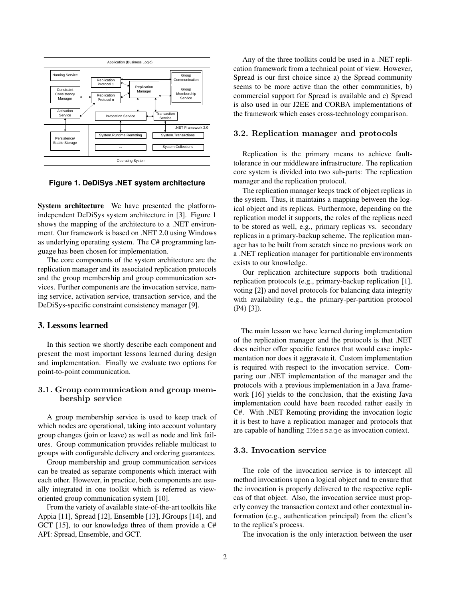

**Figure 1. DeDiSys .NET system architecture**

System architecture We have presented the platformindependent DeDiSys system architecture in [3]. Figure 1 shows the mapping of the architecture to a .NET environment. Our framework is based on .NET 2.0 using Windows as underlying operating system. The C# programming language has been chosen for implementation.

The core components of the system architecture are the replication manager and its associated replication protocols and the group membership and group communication services. Further components are the invocation service, naming service, activation service, transaction service, and the DeDiSys-specific constraint consistency manager [9].

### 3. Lessons learned

In this section we shortly describe each component and present the most important lessons learned during design and implementation. Finally we evaluate two options for point-to-point communication.

## **3.1. Group communication and group membership service**

A group membership service is used to keep track of which nodes are operational, taking into account voluntary group changes (join or leave) as well as node and link failures. Group communication provides reliable multicast to groups with configurable delivery and ordering guarantees.

Group membership and group communication services can be treated as separate components which interact with each other. However, in practice, both components are usually integrated in one toolkit which is referred as vieworiented group communication system [10].

From the variety of available state-of-the-art toolkits like Appia [11], Spread [12], Ensemble [13], JGroups [14], and GCT [15], to our knowledge three of them provide a C# API: Spread, Ensemble, and GCT.

Any of the three toolkits could be used in a .NET replication framework from a technical point of view. However, Spread is our first choice since a) the Spread community seems to be more active than the other communities, b) commercial support for Spread is available and c) Spread is also used in our J2EE and CORBA implementations of the framework which eases cross-technology comparison.

#### **3.2. Replication manager and protocols**

Replication is the primary means to achieve faulttolerance in our middleware infrastructure. The replication core system is divided into two sub-parts: The replication manager and the replication protocol.

The replication manager keeps track of object replicas in the system. Thus, it maintains a mapping between the logical object and its replicas. Furthermore, depending on the replication model it supports, the roles of the replicas need to be stored as well, e.g., primary replicas vs. secondary replicas in a primary-backup scheme. The replication manager has to be built from scratch since no previous work on a .NET replication manager for partitionable environments exists to our knowledge.

Our replication architecture supports both traditional replication protocols (e.g., primary-backup replication [1], voting [2]) and novel protocols for balancing data integrity with availability (e.g., the primary-per-partition protocol (P4) [3]).

The main lesson we have learned during implementation of the replication manager and the protocols is that .NET does neither offer specific features that would ease implementation nor does it aggravate it. Custom implementation is required with respect to the invocation service. Comparing our .NET implementation of the manager and the protocols with a previous implementation in a Java framework [16] yields to the conclusion, that the existing Java implementation could have been recoded rather easily in C#. With .NET Remoting providing the invocation logic it is best to have a replication manager and protocols that are capable of handling IMessage as invocation context.

#### **3.3. Invocation service**

The role of the invocation service is to intercept all method invocations upon a logical object and to ensure that the invocation is properly delivered to the respective replicas of that object. Also, the invocation service must properly convey the transaction context and other contextual information (e.g., authentication principal) from the client's to the replica's process.

The invocation is the only interaction between the user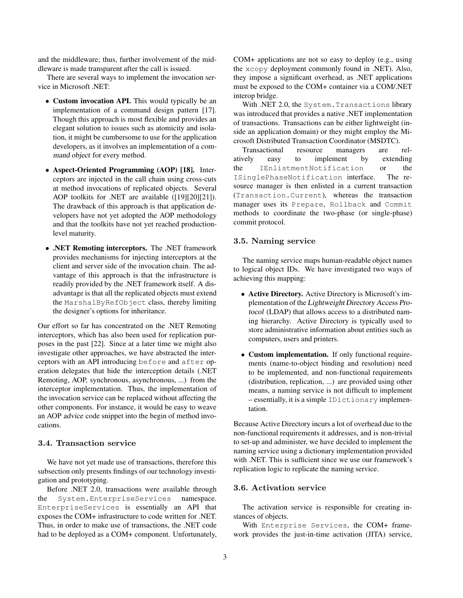and the middleware; thus, further involvement of the middleware is made transparent after the call is issued.

There are several ways to implement the invocation service in Microsoft .NET:

- Custom invocation API. This would typically be an implementation of a command design pattern [17]. Though this approach is most flexible and provides an elegant solution to issues such as atomicity and isolation, it might be cumbersome to use for the application developers, as it involves an implementation of a command object for every method.
- *•* Aspect-Oriented Programming (AOP) [18]. Interceptors are injected in the call chain using cross-cuts at method invocations of replicated objects. Several AOP toolkits for .NET are available ([19][20][21]). The drawback of this approach is that application developers have not yet adopted the AOP methodology and that the toolkits have not yet reached productionlevel maturity.
- *•* .NET Remoting interceptors. The .NET framework provides mechanisms for injecting interceptors at the client and server side of the invocation chain. The advantage of this approach is that the infrastructure is readily provided by the .NET framework itself. A disadvantage is that all the replicated objects must extend the MarshalByRefObject class, thereby limiting the designer's options for inheritance.

Our effort so far has concentrated on the .NET Remoting interceptors, which has also been used for replication purposes in the past [22]. Since at a later time we might also investigate other approaches, we have abstracted the interceptors with an API introducing before and after operation delegates that hide the interception details (.NET Remoting, AOP, synchronous, asynchronous, ...) from the interceptor implementation. Thus, the implementation of the invocation service can be replaced without affecting the other components. For instance, it would be easy to weave an AOP advice code snippet into the begin of method invocations.

## **3.4. Transaction service**

We have not yet made use of transactions, therefore this subsection only presents findings of our technology investigation and prototyping.

Before .NET 2.0, transactions were available through the System.EnterpriseServices namespace.<br>EnterpriseServices is essentially an API that EnterpriseServices is essentially an API that exposes the COM+ infrastructure to code written for .NET. Thus, in order to make use of transactions, the .NET code had to be deployed as a COM+ component. Unfortunately, COM+ applications are not so easy to deploy (e.g., using the xcopy deployment commonly found in .NET). Also, they impose a significant overhead, as .NET applications must be exposed to the COM+ container via a COM/.NET interop bridge.

With .NET 2.0, the System. Transactions library was introduced that provides a native .NET implementation of transactions. Transactions can be either lightweight (inside an application domain) or they might employ the Microsoft Distributed Transaction Coordinator (MSDTC).

Transactional resource managers are relatively easy to implement by extending the IEnlistmentNotification or the<br>ISinglePhaseNotification interface. The re-ISinglePhaseNotification interface. The re-source manager is then enlisted in a current transaction (Transaction.Current), whereas the transaction manager uses its Prepare, Rollback and Commit methods to coordinate the two-phase (or single-phase) commit protocol.

#### **3.5. Naming service**

The naming service maps human-readable object names to logical object IDs. We have investigated two ways of achieving this mapping:

- *•* Active Directory. Active Directory is Microsoft's implementation of the Lightweight Directory Access Protocol (LDAP) that allows access to a distributed naming hierarchy. Active Directory is typically used to store administrative information about entities such as computers, users and printers.
- Custom implementation. If only functional requirements (name-to-object binding and resolution) need to be implemented, and non-functional requirements (distribution, replication, ...) are provided using other means, a naming service is not difficult to implement – essentially, it is a simple IDictionary implementation.

Because Active Directory incurs a lot of overhead due to the non-functional requirements it addresses, and is non-trivial to set-up and administer, we have decided to implement the naming service using a dictionary implementation provided with .NET. This is sufficient since we use our framework's replication logic to replicate the naming service.

#### **3.6. Activation service**

The activation service is responsible for creating instances of objects.

With Enterprise Services, the COM+ framework provides the just-in-time activation (JITA) service,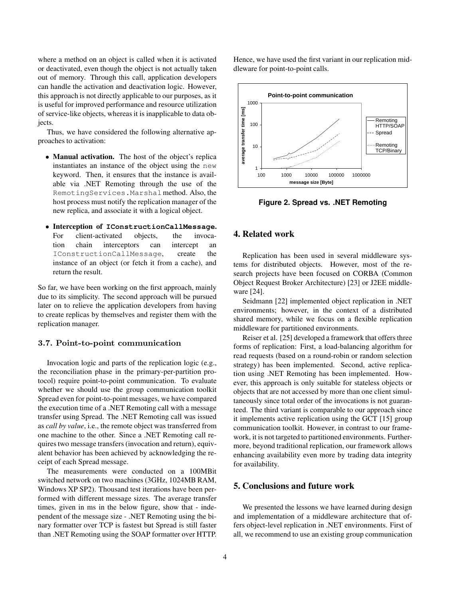where a method on an object is called when it is activated or deactivated, even though the object is not actually taken out of memory. Through this call, application developers can handle the activation and deactivation logic. However, this approach is not directly applicable to our purposes, as it is useful for improved performance and resource utilization of service-like objects, whereas it is inapplicable to data objects.

Thus, we have considered the following alternative approaches to activation:

- *•* Manual activation. The host of the object's replica instantiates an instance of the object using the new keyword. Then, it ensures that the instance is available via .NET Remoting through the use of the RemotingServices.Marshalmethod. Also, the host process must notify the replication manager of the new replica, and associate it with a logical object.
- *•* Interception of **IConstructionCallMessage**. client-activated tion chain interceptors can intercept an IConstructionCallMessage, create the instance of an object (or fetch it from a cache), and return the result.

So far, we have been working on the first approach, mainly due to its simplicity. The second approach will be pursued later on to relieve the application developers from having to create replicas by themselves and register them with the replication manager.

#### **3.7. Point-to-point communication**

Invocation logic and parts of the replication logic (e.g., the reconciliation phase in the primary-per-partition protocol) require point-to-point communication. To evaluate whether we should use the group communication toolkit Spread even for point-to-point messages, we have compared the execution time of a .NET Remoting call with a message transfer using Spread. The .NET Remoting call was issued as *call by value*, i.e., the remote object was transferred from one machine to the other. Since a .NET Remoting call requires two message transfers (invocation and return), equivalent behavior has been achieved by acknowledging the receipt of each Spread message.

The measurements were conducted on a 100MBit switched network on two machines (3GHz, 1024MB RAM, Windows XP SP2). Thousand test iterations have been performed with different message sizes. The average transfer times, given in ms in the below figure, show that - independent of the message size - .NET Remoting using the binary formatter over TCP is fastest but Spread is still faster than .NET Remoting using the SOAP formatter over HTTP.

Hence, we have used the first variant in our replication middleware for point-to-point calls.



**Figure 2. Spread vs. .NET Remoting**

# 4. Related work

Replication has been used in several middleware systems for distributed objects. However, most of the research projects have been focused on CORBA (Common Object Request Broker Architecture) [23] or J2EE middleware [24].

Seidmann [22] implemented object replication in .NET environments; however, in the context of a distributed shared memory, while we focus on a flexible replication middleware for partitioned environments.

Reiser et al. [25] developed a framework that offers three forms of replication: First, a load-balancing algorithm for read requests (based on a round-robin or random selection strategy) has been implemented. Second, active replication using .NET Remoting has been implemented. However, this approach is only suitable for stateless objects or objects that are not accessed by more than one client simultaneously since total order of the invocations is not guaranteed. The third variant is comparable to our approach since it implements active replication using the GCT [15] group communication toolkit. However, in contrast to our framework, it is not targeted to partitioned environments. Furthermore, beyond traditional replication, our framework allows enhancing availability even more by trading data integrity for availability.

# 5. Conclusions and future work

We presented the lessons we have learned during design and implementation of a middleware architecture that offers object-level replication in .NET environments. First of all, we recommend to use an existing group communication